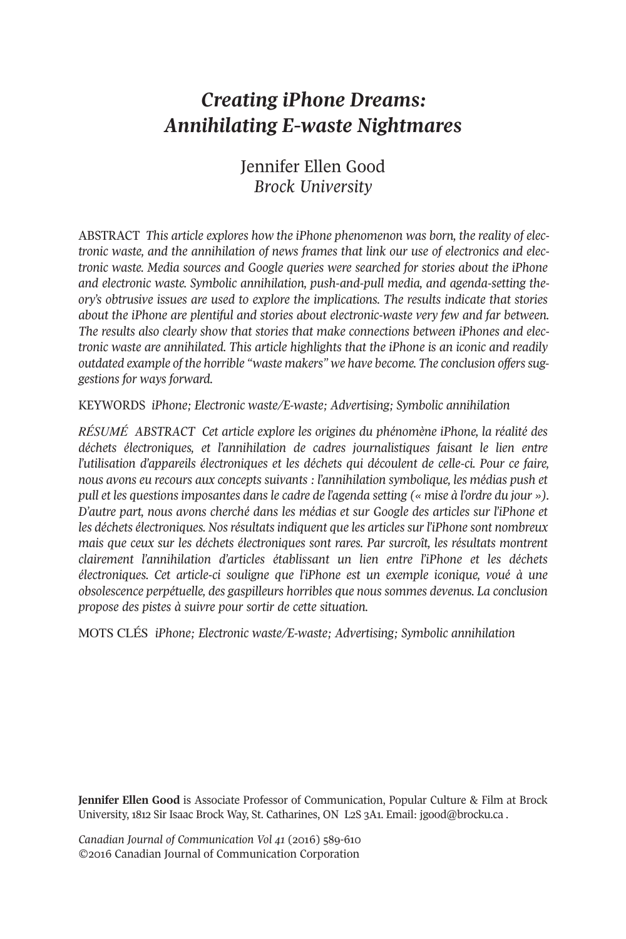# *Creating iPhone Dreams: Annihilating E-waste Nightmares*

## Jennifer Ellen Good *Brock University*

ABSTRACT *This article explores how the iPhone phenomenon was born, the reality of electronic waste, and the annihilation of news frames that link our use of electronics and electronic waste. Media sources and Google queries were searched for stories about the iPhone and electronic waste. Symbolic annihilation, push-and-pull media, and agenda-setting theory's obtrusive issues are used to explore the implications. The results indicate that stories about the iPhone are plentiful and stories about electronic-waste very few and far between. The results also clearly show that stories that make connections between iPhones and electronic waste are annihilated. This article highlights that the iPhone is an iconic and readily outdated example of the horrible "waste makers" we have become. The conclusion offerssuggestions for ways forward.*

KEywoRdS *iPhone; Electronic waste/E-waste; Advertising; Symbolic annihilation*

*RÉSUMÉ ABSTRACT Cet article explore les origines du phénomène iPhone, la réalité des déchets électroniques, et l'annihilation de cadres journalistiques faisant le lien entre l'utilisation d'appareils électroniques et les déchets qui découlent de celle-ci. Pour ce faire, nous avons eu recours aux concepts suivants : l'annihilation symbolique, les médias push et pull et les questions imposantes dans le cadre de l'agenda setting (« mise à l'ordre du jour »). D'autre part, nous avons cherché dans les médias et sur Google des articles sur l'iPhone et les déchets électroniques. Nos résultats indiquent que les articles sur l'iPhone sont nombreux mais que ceux sur les déchets électroniques sont rares. Par surcroît, les résultats montrent clairement l'annihilation d'articles établissant un lien entre l'iPhone et les déchets électroniques. Cet article-ci souligne que l'iPhone est un exemple iconique, voué à une obsolescence perpétuelle, des gaspilleurs horribles que nous sommes devenus. La conclusion propose des pistes à suivre pour sortir de cette situation.*

MOTS CLÉS *iPhone; Electronic waste/E-waste; Advertising; Symbolic annihilation*

**Jennifer Ellen Good** is Associate Professor of Communication, Popular Culture & Film at Brock University, 1812 Sir Isaac Brock way, St. Catharines, oN L2S 3A1. Email: [jgood@brocku.ca](mailto:jgood@brocku.ca) .

*Canadian Journal of [Communication](http://www.cjc-online.ca) Vol 41* (2016) 589-610 ©2016 Canadian Journal of Communication Corporation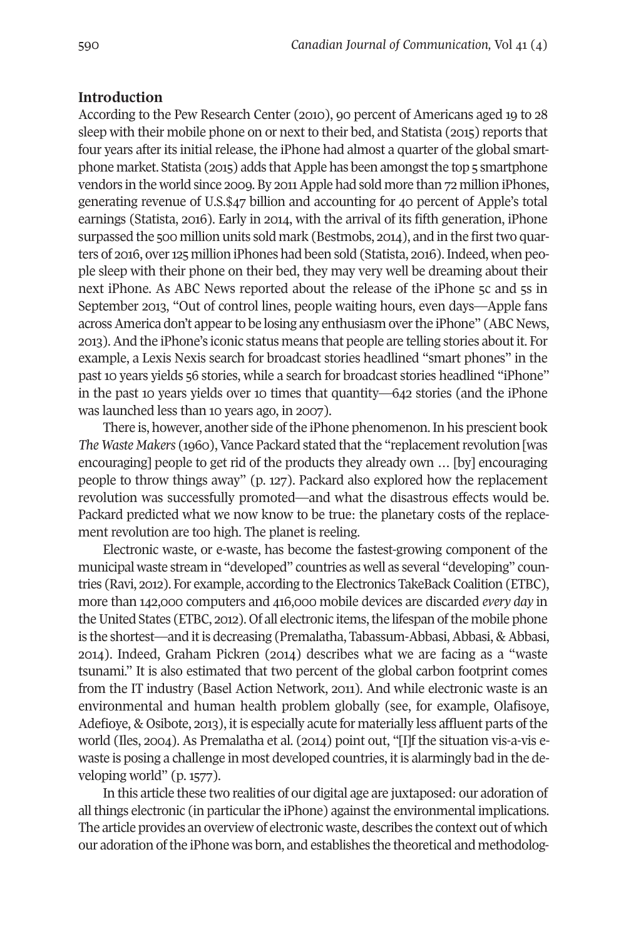#### **Introduction**

According to the Pew Research Center (2010), 90 percent of Americans aged 19 to 28 sleep with their mobile phone on or next to their bed, and Statista (2015) reports that four years after its initial release, the iPhone had almost a quarter of the global smartphone market. Statista (2015) adds that Apple has been amongst the top 5 smartphone vendors in the world since 2009. By 2011 Apple had sold more than 72 million iPhones, generating revenue of U.S.\$47 billion and accounting for 40 percent of Apple's total earnings (Statista, 2016). Early in 2014, with the arrival of its fifth generation, iPhone surpassed the 500 million units sold mark (Bestmobs, 2014), and in the first two quarters of 2016, over 125 million iPhones had been sold (Statista, 2016). Indeed, when people sleep with their phone on their bed, they may very well be dreaming about their next iPhone. As ABC News reported about the release of the iPhone 5c and 5s in September 2013, "out of control lines, people waiting hours, even days—Apple fans acrossAmerica don't appearto be losing any enthusiasm overthe iPhone" (ABC News, 2013).And the iPhone's iconic status means that people are telling stories aboutit. For example, a Lexis Nexis search for broadcast stories headlined "smart phones" in the past 10 years yields 56 stories, while a search for broadcast stories headlined "iPhone" in the past 10 years yields over 10 times that quantity—642 stories (and the iPhone was launched less than 10 years ago, in 2007).

There is, however, another side of the iPhone phenomenon. In his prescient book *The Waste Makers* (1960), Vance Packard stated that the "replacement revolution [was encouraging] people to get rid of the products they already own … [by] encouraging people to throw things away" (p. 127). Packard also explored how the replacement revolution was successfully promoted—and what the disastrous effects would be. Packard predicted what we now know to be true: the planetary costs of the replacement revolution are too high. The planet is reeling.

Electronic waste, or e-waste, has become the fastest-growing component of the municipal waste stream in "developed" countries as well as several "developing" countries (Ravi, 2012). For example, according to the Electronics TakeBack Coalition (ETBC), more than 142,000 computers and 416,000 mobile devices are discarded *every day* in the United States (ETBC, 2012). Of all electronic items, the lifespan of the mobile phone is the shortest—and it is decreasing (Premalatha, Tabassum-Abbasi, Abbasi, & Abbasi, 2014). Indeed, Graham Pickren (2014) describes what we are facing as a "waste tsunami." It is also estimated that two percent of the global carbon footprint comes from the IT industry (Basel Action Network, 2011). And while electronic waste is an environmental and human health problem globally (see, for example, olafisoye, Adefioye, & Osibote, 2013), it is especially acute for materially less affluent parts of the world (Iles, 2004). As Premalatha et al. (2014) point out, "[I]f the situation vis-a-vis ewaste is posing a challenge in most developed countries, it is alarmingly bad in the developing world" (p. 1577).

In this article these two realities of our digital age are juxtaposed: our adoration of all things electronic (in particular the iPhone) against the environmental implications. The article provides an overview of electronic waste, describes the context out of which our adoration ofthe iPhone was born, and establishes the theoretical and methodolog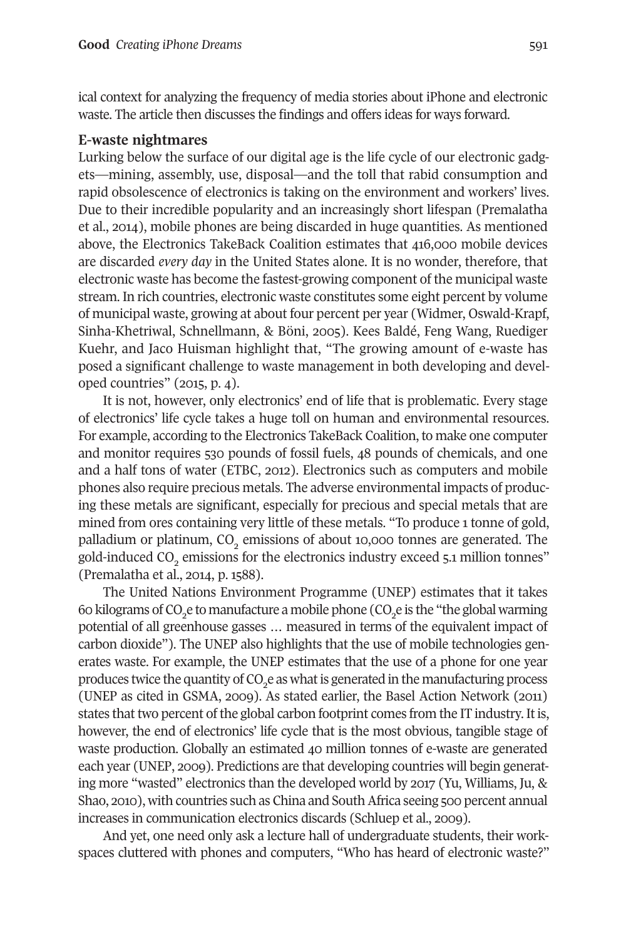ical context for analyzing the frequency of media stories about iPhone and electronic waste. The article then discusses the findings and offers ideas for ways forward.

#### **E-waste nightmares**

Lurking below the surface of our digital age is the life cycle of our electronic gadgets—mining, assembly, use, disposal—and the toll that rabid consumption and rapid obsolescence of electronics is taking on the environment and workers' lives. Due to their incredible popularity and an increasingly short lifespan (Premalatha et al., 2014), mobile phones are being discarded in huge quantities. As mentioned above, the Electronics TakeBack Coalition estimates that 416,000 mobile devices are discarded *every day* in the United States alone. It is no wonder, therefore, that electronic waste has become the fastest-growing component of the municipal waste stream. In rich countries, electronic waste constitutes some eight percent by volume of municipal waste, growing at about four percent per year (widmer, oswald-Krapf, Sinha-Khetriwal, Schnellmann, & Böni, 2005). Kees Baldé, Feng wang, Ruediger Kuehr, and Jaco Huisman highlight that, "The growing amount of e-waste has posed a significant challenge to waste management in both developing and developed countries" (2015, p. 4).

It is not, however, only electronics' end of life that is problematic. Every stage of electronics' life cycle takes a huge toll on human and environmental resources. For example, according to the Electronics TakeBack Coalition, to make one computer and monitor requires 530 pounds of fossil fuels, 48 pounds of chemicals, and one and a half tons of water (ETBC, 2012). Electronics such as computers and mobile phones also require precious metals. The adverse environmental impacts of producing these metals are significant, especially for precious and special metals that are mined from ores containing very little of these metals. "To produce 1 tonne of gold, palladium or platinum, CO<sub>2</sub> emissions of about 10,000 tonnes are generated. The gold-induced CO<sub>2</sub> emissions for the electronics industry exceed 5.1 million tonnes" (Premalatha et al., 2014, p. 1588).

The United Nations Environment Programme (UNEP) estimates that it takes 60 kilograms of CO<sub>2</sub>e to manufacture a mobile phone (CO<sub>2</sub>e is the "the global warming potential of all greenhouse gasses … measured in terms of the equivalent impact of carbon dioxide"). The UNEP also highlights that the use of mobile technologies generates waste. For example, the UNEP estimates that the use of a phone for one year produces twice the quantity of CO<sub>2</sub>e as what is generated in the manufacturing process (UNEP as cited in GSMA, 2009). As stated earlier, the Basel Action Network (2011) states that two percent of the global carbon footprint comes from the IT industry. It is, however, the end of electronics' life cycle that is the most obvious, tangible stage of waste production. Globally an estimated 40 million tonnes of e-waste are generated each year (UNEP, 2009). Predictions are that developing countries will begin generating more "wasted" electronics than the developed world by 2017 (Yu, Williams, Ju, & Shao, 2010), with countries such as China and South Africa seeing 500 percent annual increases in communication electronics discards (Schluep et al., 2009).

And yet, one need only ask a lecture hall of undergraduate students, their workspaces cluttered with phones and computers, "who has heard of electronic waste?"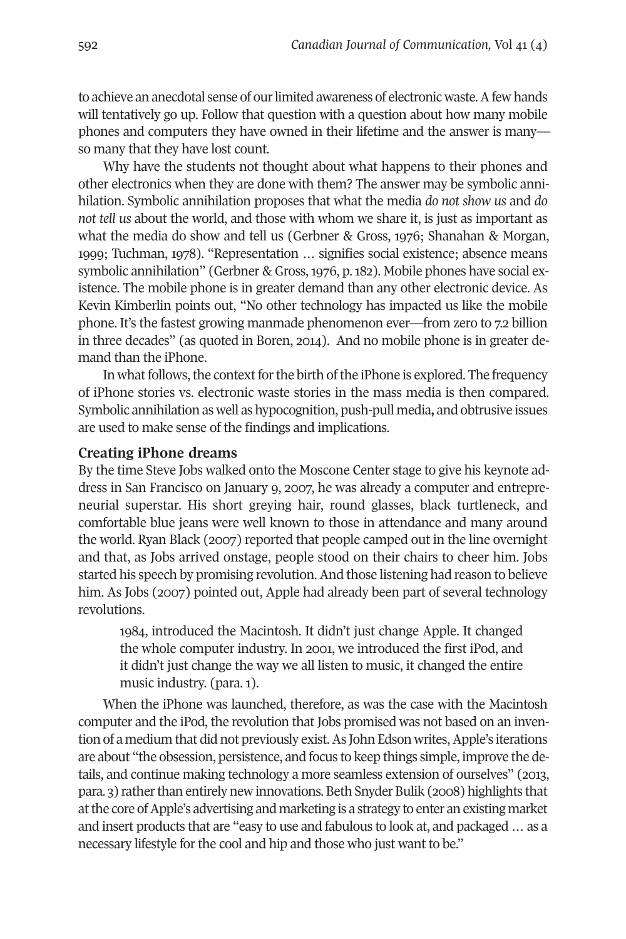to achieve an anecdotal sense of our limited awareness of electronic waste. A few hands will tentatively go up. Follow that question with a question about how many mobile phones and computers they have owned in their lifetime and the answer is many so many that they have lost count.

why have the students not thought about what happens to their phones and other electronics when they are done with them? The answer may be symbolic annihilation. Symbolic annihilation proposes that what the media *do not show us* and *do not tell us* about the world, and those with whom we share it, is just as important as what the media do show and tell us (Gerbner & Gross, 1976; Shanahan & Morgan, 1999; Tuchman, 1978). "Representation … signifies social existence; absence means symbolic annihilation" (Gerbner & Gross, 1976, p. 182). Mobile phones have social existence. The mobile phone is in greater demand than any other electronic device. As Kevin Kimberlin points out, "No other technology has impacted us like the mobile phone. It's the fastest growing manmade phenomenon ever—from zero to 7.2 billion in three decades" (as quoted in Boren, 2014). And no mobile phone is in greater demand than the iPhone.

In what follows, the context for the birth of the iPhone is explored. The frequency of iPhone stories vs. electronic waste stories in the mass media is then compared. Symbolic annihilation as well as hypocognition, push-pull media**,** and obtrusive issues are used to make sense of the findings and implications.

#### **Creating iPhone dreams**

By the time Steve Jobs walked onto the Moscone Center stage to give his keynote address in San Francisco on January 9, 2007, he was already a computer and entrepreneurial superstar. His short greying hair, round glasses, black turtleneck, and comfortable blue jeans were well known to those in attendance and many around the world. Ryan Black (2007) reported that people camped out in the line overnight and that, as Jobs arrived onstage, people stood on their chairs to cheer him. Jobs started his speech by promising revolution. And those listening had reason to believe him. As Jobs (2007) pointed out, Apple had already been part of several technology revolutions.

1984, introduced the Macintosh. It didn't just change Apple. It changed the whole computer industry. In 2001, we introduced the first iPod, and it didn't just change the way we all listen to music, it changed the entire music industry. (para. 1).

when the iPhone was launched, therefore, as was the case with the Macintosh computer and the iPod, the revolution that Jobs promised was not based on an invention of a medium that did not previously exist.As John Edson writes,Apple's iterations are about "the obsession, persistence, and focus to keep things simple, improve the details, and continue making technology a more seamless extension of ourselves" (2013, para. 3) rather than entirely new innovations. Beth Snyder Bulik (2008) highlights that atthe core ofApple's advertising and marketing is a strategy to enter an existing market and insert products that are "easy to use and fabulous to look at, and packaged … as a necessary lifestyle for the cool and hip and those who just want to be."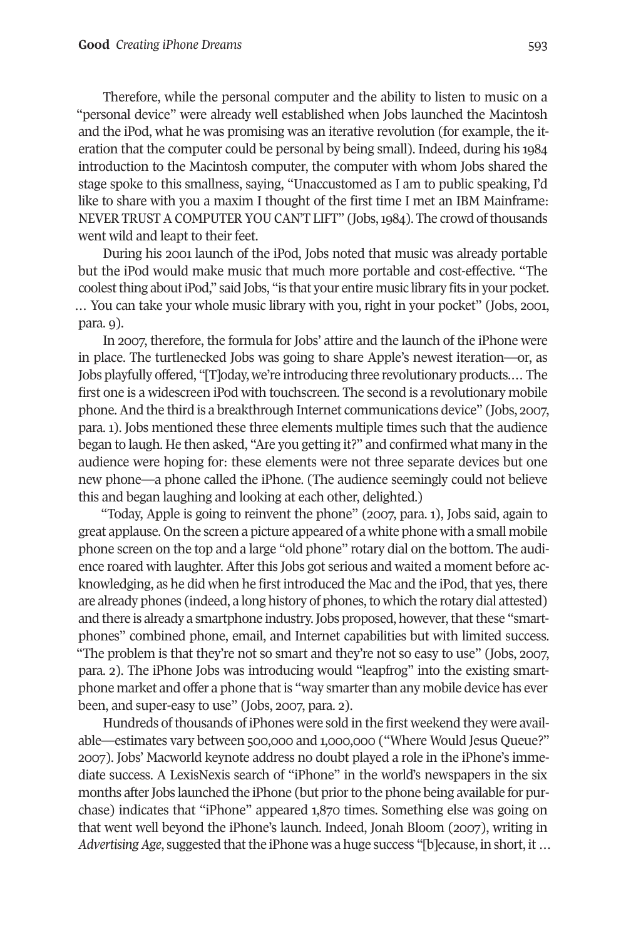Therefore, while the personal computer and the ability to listen to music on a "personal device" were already well established when Jobs launched the Macintosh and the iPod, what he was promising was an iterative revolution (for example, the iteration that the computer could be personal by being small). Indeed, during his 1984 introduction to the Macintosh computer, the computer with whom Jobs shared the stage spoke to this smallness, saying, "Unaccustomed as I am to public speaking, I'd like to share with you a maxim I thought of the first time I met an IBM Mainframe: NEVER TRUST A COMPUTER YOU CAN'T LIFT" (Jobs, 1984). The crowd of thousands went wild and leapt to their feet.

During his 2001 launch of the iPod, Jobs noted that music was already portable but the iPod would make music that much more portable and cost-effective. "The coolest thing about iPod," said Jobs, "is that your entire music library fits in your pocket. … you can take your whole music library with you, right in your pocket" (Jobs, 2001, para. 9).

In 2007, therefore, the formula for Jobs' attire and the launch of the iPhone were in place. The turtlenecked Jobs was going to share Apple's newest iteration—or, as Jobs playfully offered, "[T]oday, we're introducing three revolutionary products.…The first one is a widescreen iPod with touchscreen. The second is a revolutionary mobile phone.And the third is a breakthrough Internet communications device" (Jobs, 2007, para. 1). Jobs mentioned these three elements multiple times such that the audience began to laugh. He then asked, "Are you getting it?" and confirmed what many in the audience were hoping for: these elements were not three separate devices but one new phone—a phone called the iPhone. (The audience seemingly could not believe this and began laughing and looking at each other, delighted.)

"Today, Apple is going to reinvent the phone" (2007, para. 1), Jobs said, again to great applause. on the screen a picture appeared of a white phone with a small mobile phone screen on the top and a large "old phone" rotary dial on the bottom. The audience roared with laughter. After this Jobs got serious and waited a moment before acknowledging, as he did when he first introduced the Mac and the iPod, that yes, there are already phones (indeed, a long history of phones, to which the rotary dial attested) and there is already a smartphone industry. Jobs proposed, however, that these "smartphones" combined phone, email, and Internet capabilities but with limited success. "The problem is that they're not so smart and they're not so easy to use" (Jobs, 2007, para. 2). The iPhone Jobs was introducing would "leapfrog" into the existing smartphone market and offer a phone that is "way smarter than any mobile device has ever been, and super-easy to use" (Jobs, 2007, para. 2).

Hundreds of thousands of iPhones were sold in the first weekend they were available—estimates vary between 500,000 and 1,000,000 ("where would Jesus Queue?" 2007). Jobs' Macworld keynote address no doubt played a role in the iPhone's immediate success. A LexisNexis search of "iPhone" in the world's newspapers in the six months after Jobs launched the iPhone (but prior to the phone being available for purchase) indicates that "iPhone" appeared 1,870 times. Something else was going on that went well beyond the iPhone's launch. Indeed, Jonah Bloom (2007), writing in *Advertising Age*, suggested that the iPhone was a huge success "[b]ecause, in short, it ...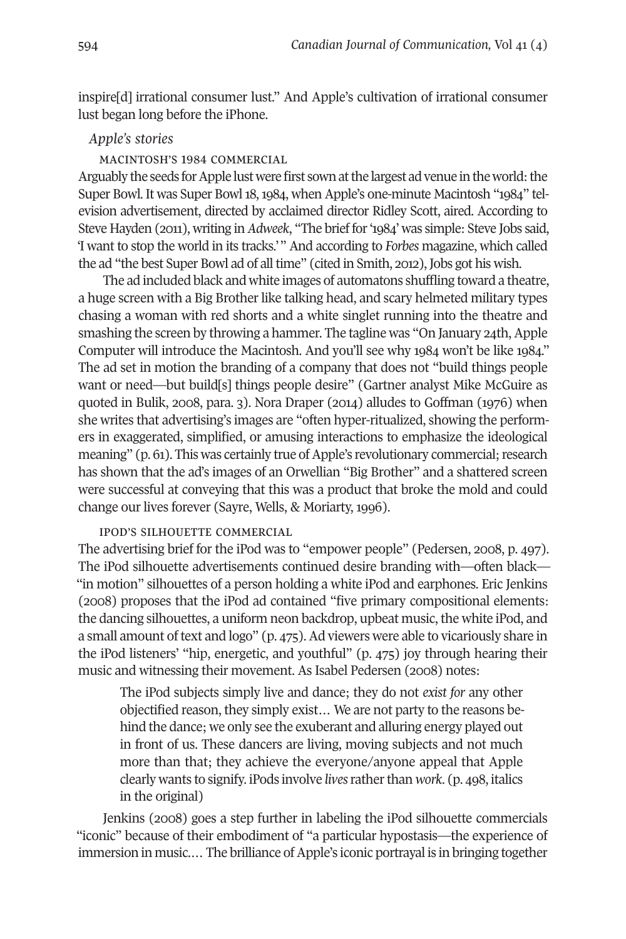inspire[d] irrational consumer lust." And Apple's cultivation of irrational consumer lust began long before the iPhone.

#### *Apple's stories*

#### Macintosh's 1984 coMMercial

Arguably the seeds for Apple lust were first sown at the largest ad venue in the world: the Super Bowl. It was Super Bowl18,1984, when Apple's one-minute Macintosh "1984" television advertisement, directed by acclaimed director Ridley Scott, aired. According to Steve Hayden (2011), writing in *Adweek*, "The brief for'1984' was simple: Steve Jobs said, 'I want to stop the world in its tracks.'" And according to *Forbes* magazine, which called the ad "the best Super Bowl ad of all time" (cited in Smith, 2012), Jobs got his wish.

The ad included black and white images of automatons shuffling toward a theatre, a huge screen with a Big Brother like talking head, and scary helmeted military types chasing a woman with red shorts and a white singlet running into the theatre and smashing the screen by throwing a hammer. The tagline was "On January 24th, Apple Computer will introduce the Macintosh. And you'll see why 1984 won't be like 1984." The ad set in motion the branding of a company that does not "build things people want or need—but build[s] things people desire" (Gartner analyst Mike McGuire as quoted in Bulik, 2008, para. 3). Nora Draper (2014) alludes to Goffman (1976) when she writes that advertising's images are "often hyper-ritualized, showing the performers in exaggerated, simplified, or amusing interactions to emphasize the ideological meaning" (p. 61). This was certainly true of Apple's revolutionary commercial; research has shown that the ad's images of an orwellian "Big Brother" and a shattered screen were successful at conveying that this was a product that broke the mold and could change our lives forever (Sayre, wells, & Moriarty, 1996).

#### iPod's silhouette coMMercial

The advertising brief for the iPod was to "empower people" (Pedersen, 2008, p. 497). The iPod silhouette advertisements continued desire branding with—often black— "in motion" silhouettes of a person holding a white iPod and earphones. Eric Jenkins (2008) proposes that the iPod ad contained "five primary compositional elements: the dancing silhouettes, a uniform neon backdrop, upbeat music, the white iPod, and a small amount of text and logo" (p. 475). Ad viewers were able to vicariously share in the iPod listeners' "hip, energetic, and youthful" (p. 475) joy through hearing their music and witnessing their movement. As Isabel Pedersen (2008) notes:

The iPod subjects simply live and dance; they do not *exist for* any other objectified reason, they simply exist… we are not party to the reasons behind the dance; we only see the exuberant and alluring energy played out in front of us. These dancers are living, moving subjects and not much more than that; they achieve the everyone/anyone appeal that Apple clearly wants to signify. iPods involve *lives*ratherthan *work*. (p. 498, italics in the original)

Jenkins (2008) goes a step further in labeling the iPod silhouette commercials "iconic" because of their embodiment of "a particular hypostasis—the experience of immersion in music.... The brilliance of Apple's iconic portrayal is in bringing together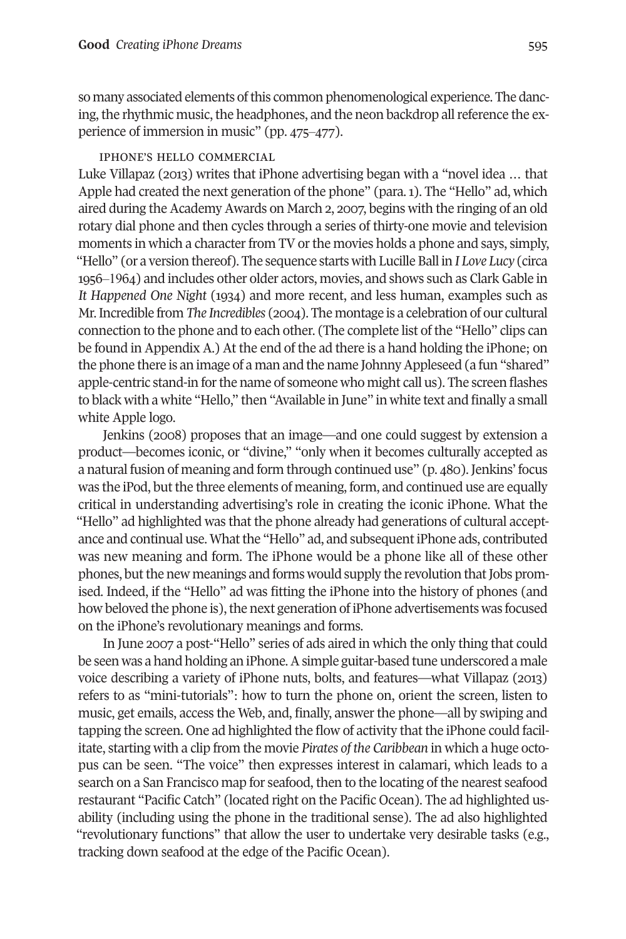so many associated elements of this common phenomenological experience. The dancing, the rhythmic music, the headphones, and the neon backdrop all reference the experience of immersion in music" (pp. 475–477).

#### iPhone's hello coMMercial

Luke Villapaz (2013) writes that iPhone advertising began with a "novel idea … that Apple had created the next generation of the phone" (para.1). The "Hello" ad, which aired during the Academy Awards on March 2, 2007, begins with the ringing of an old rotary dial phone and then cycles through a series of thirty-one movie and television moments in which a character from TV or the movies holds a phone and says, simply, "Hello" (or a version thereof). The sequence starts with Lucille Ball in *I Love Lucy* (circa 1956‒1964) and includes other older actors, movies, and shows such as Clark Gable in *It Happened One Night* (1934) and more recent, and less human, examples such as Mr.Incredible from *The Incredibles* (2004). The montage is a celebration of our cultural connection to the phone and to each other. (The complete list ofthe "Hello" clips can be found in Appendix A.) At the end of the ad there is a hand holding the iPhone; on the phone there is an image of a man and the name Johnny Appleseed (a fun "shared" apple-centric stand-in forthe name of someone who might call us). The screen flashes to black with a white "Hello," then "Available in June" in white text and finally a small white Apple logo.

Jenkins (2008) proposes that an image—and one could suggest by extension a product—becomes iconic, or "divine," "only when it becomes culturally accepted as a natural fusion of meaning and form through continued use" (p. 480). Jenkins' focus was the iPod, but the three elements of meaning, form, and continued use are equally critical in understanding advertising's role in creating the iconic iPhone. what the "Hello" ad highlighted was that the phone already had generations of cultural acceptance and continual use. What the "Hello" ad, and subsequent iPhone ads, contributed was new meaning and form. The iPhone would be a phone like all of these other phones, but the new meanings and forms would supply the revolution that Jobs promised. Indeed, if the "Hello" ad was fitting the iPhone into the history of phones (and how beloved the phone is), the next generation of iPhone advertisements was focused on the iPhone's revolutionary meanings and forms.

In June 2007 a post-"Hello" series of ads aired in which the only thing that could be seen was a hand holding an iPhone. A simple guitar-based tune underscored a male voice describing a variety of iPhone nuts, bolts, and features—what Villapaz (2013) refers to as "mini-tutorials": how to turn the phone on, orient the screen, listen to music, get emails, access the web, and, finally, answer the phone—all by swiping and tapping the screen. one ad highlighted the flow of activity that the iPhone could facilitate, starting with a clip from the movie *Pirates of the Caribbean* in which a huge octopus can be seen. "The voice" then expresses interest in calamari, which leads to a search on a San Francisco map for seafood, then to the locating of the nearest seafood restaurant "Pacific Catch" (located right on the Pacific ocean). The ad highlighted usability (including using the phone in the traditional sense). The ad also highlighted "revolutionary functions" that allow the user to undertake very desirable tasks (e.g., tracking down seafood at the edge of the Pacific ocean).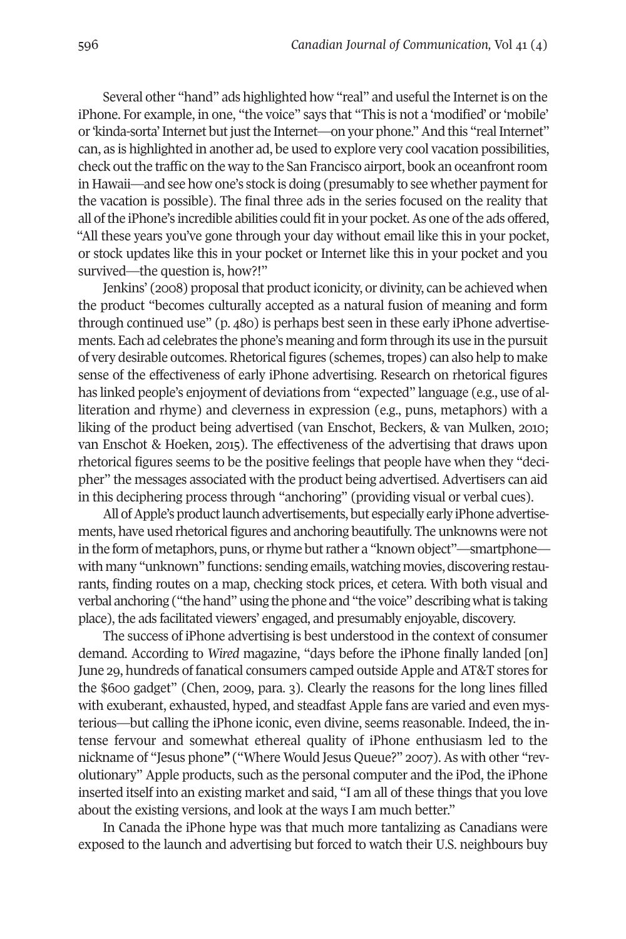Several other "hand" ads highlighted how "real" and useful the Internet is on the iPhone. For example, in one, "the voice" says that "This is not a 'modified' or'mobile' or 'kinda-sorta' Internet but just the Internet—on your phone." And this "real Internet" can, as is highlighted in another ad, be used to explore very cool vacation possibilities, check out the traffic on the way to the San Francisco airport, book an oceanfront room in Hawaii—and see how one's stock is doing (presumably to see whether paymentfor the vacation is possible). The final three ads in the series focused on the reality that all of the iPhone's incredible abilities could fit in your pocket. As one of the ads offered, "All these years you've gone through your day without email like this in your pocket, or stock updates like this in your pocket or Internet like this in your pocket and you survived—the question is, how?!"

Jenkins' (2008) proposal that product iconicity, or divinity, can be achieved when the product "becomes culturally accepted as a natural fusion of meaning and form through continued use" (p. 480) is perhaps best seen in these early iPhone advertisements. Each ad celebrates the phone's meaning and form through its use in the pursuit of very desirable outcomes. Rhetorical figures (schemes,tropes) can also help to make sense of the effectiveness of early iPhone advertising. Research on rhetorical figures has linked people's enjoyment of deviations from "expected" language (e.g., use of alliteration and rhyme) and cleverness in expression (e.g., puns, metaphors) with a liking of the product being advertised (van Enschot, Beckers, & van Mulken, 2010; van Enschot & Hoeken, 2015). The effectiveness of the advertising that draws upon rhetorical figures seems to be the positive feelings that people have when they "decipher" the messages associated with the product being advertised. Advertisers can aid in this deciphering process through "anchoring" (providing visual or verbal cues).

All of Apple's product launch advertisements, but especially early iPhone advertisements, have used rhetorical figures and anchoring beautifully. The unknowns were not in the form of metaphors, puns, or rhyme but rather a "known object"—smartphone with many "unknown" functions: sending emails, watching movies, discovering restaurants, finding routes on a map, checking stock prices, et cetera. with both visual and verbal anchoring ("the hand" using the phone and "the voice" describing what is taking place), the ads facilitated viewers' engaged, and presumably enjoyable, discovery.

The success of iPhone advertising is best understood in the context of consumer demand. According to *Wired* magazine, "days before the iPhone finally landed [on] June 29, hundreds of fanatical consumers camped outside Apple and AT&T stores for the \$600 gadget" (Chen, 2009, para. 3). Clearly the reasons for the long lines filled with exuberant, exhausted, hyped, and steadfast Apple fans are varied and even mysterious—but calling the iPhone iconic, even divine, seems reasonable. Indeed, the intense fervour and somewhat ethereal quality of iPhone enthusiasm led to the nickname of "Jesus phone**"** ("where would Jesus Queue?" 2007). As with other "revolutionary" Apple products, such as the personal computer and the iPod, the iPhone inserted itself into an existing market and said, "I am all of these things that you love about the existing versions, and look at the ways I am much better."

In Canada the iPhone hype was that much more tantalizing as Canadians were exposed to the launch and advertising but forced to watch their U.S. neighbours buy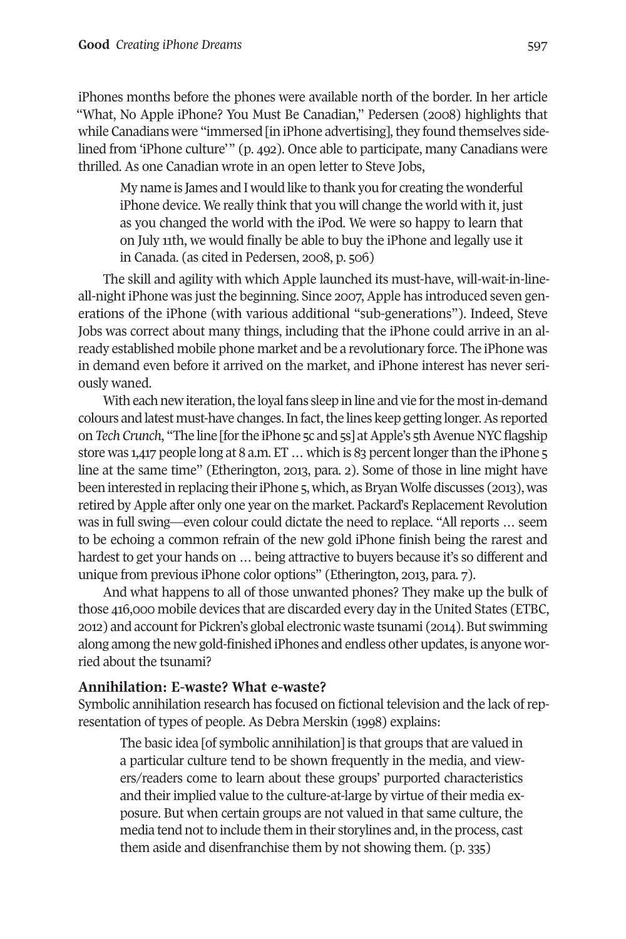iPhones months before the phones were available north of the border. In her article "What, No Apple iPhone? You Must Be Canadian," Pedersen (2008) highlights that while Canadians were "immersed [in iPhone advertising], they found themselves sidelined from 'iPhone culture'" (p. 492). Once able to participate, many Canadians were thrilled. As one Canadian wrote in an open letter to Steve Jobs,

My name is James and I would like to thank you for creating the wonderful iPhone device. we really think that you will change the world with it, just as you changed the world with the iPod. we were so happy to learn that on July 11th, we would finally be able to buy the iPhone and legally use it in Canada. (as cited in Pedersen, 2008, p. 506)

The skill and agility with which Apple launched its must-have, will-wait-in-lineall-night iPhone was just the beginning. Since 2007, Apple has introduced seven generations of the iPhone (with various additional "sub-generations"). Indeed, Steve Jobs was correct about many things, including that the iPhone could arrive in an already established mobile phone market and be a revolutionary force. The iPhone was in demand even before it arrived on the market, and iPhone interest has never seriously waned.

With each new iteration, the loyal fans sleep in line and vie for the most in-demand colours and latest must-have changes. In fact, the lines keep getting longer. As reported on *Tech* Crunch, "The line [for the iPhone 5c and 5s] at Apple's 5th Avenue NYC flagship store was 1,417 people long at 8 a.m. ET ... which is 83 percent longer than the iPhone 5 line at the same time" (Etherington, 2013, para. 2). Some of those in line might have been interested in replacing their iPhone 5, which, as Bryan Wolfe discusses (2013), was retired by Apple after only one year on the market. Packard's Replacement Revolution was in full swing—even colour could dictate the need to replace. "All reports … seem to be echoing a common refrain of the new gold iPhone finish being the rarest and hardest to get your hands on … being attractive to buyers because it's so different and unique from previous iPhone color options" (Etherington, 2013, para. 7).

And what happens to all of those unwanted phones? They make up the bulk of those 416,000 mobile devices that are discarded every day in the United States (ETBC, 2012) and accountfor Pickren's global electronic waste tsunami (2014). But swimming along among the new gold-finished iPhones and endless other updates, is anyone worried about the tsunami?

#### **Annihilation: E-waste? What e-waste?**

Symbolic annihilation research has focused on fictional television and the lack ofrepresentation of types of people. As Debra Merskin (1998) explains:

The basic idea [of symbolic annihilation] is that groups that are valued in a particular culture tend to be shown frequently in the media, and viewers/readers come to learn about these groups' purported characteristics and their implied value to the culture-at-large by virtue of their media exposure. But when certain groups are not valued in that same culture, the media tend not to include them in their storylines and, in the process, cast them aside and disenfranchise them by not showing them. (p. 335)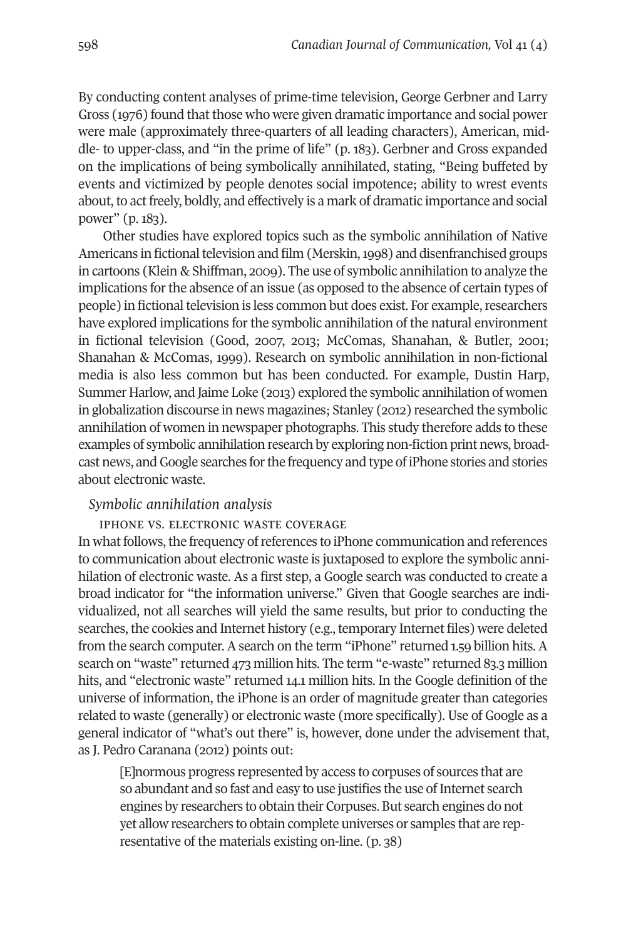By conducting content analyses of prime-time television, George Gerbner and Larry Gross (1976) found that those who were given dramatic importance and social power were male (approximately three-quarters of all leading characters), American, middle- to upper-class, and "in the prime of life" (p. 183). Gerbner and Gross expanded on the implications of being symbolically annihilated, stating, "Being buffeted by events and victimized by people denotes social impotence; ability to wrest events about, to act freely, boldly, and effectively is a mark of dramatic importance and social power" (p. 183).

other studies have explored topics such as the symbolic annihilation of Native Americans in fictional television and film (Merskin, 1998) and disenfranchised groups in cartoons (Klein & Shiffman, 2009). The use of symbolic annihilation to analyze the implications for the absence of an issue (as opposed to the absence of certain types of people) in fictional television is less common but does exist. For example, researchers have explored implications for the symbolic annihilation of the natural environment in fictional television (Good, 2007, 2013; McComas, Shanahan, & Butler, 2001; Shanahan & McComas, 1999). Research on symbolic annihilation in non-fictional media is also less common but has been conducted. For example, Dustin Harp, Summer Harlow, and Jaime Loke (2013) explored the symbolic annihilation of women in globalization discourse in news magazines; Stanley (2012) researched the symbolic annihilation of women in newspaper photographs. This study therefore adds to these examples of symbolic annihilation research by exploring non-fiction print news, broadcast news, andGoogle searches forthe frequency and type of iPhone stories and stories about electronic waste.

#### *Symbolic annihilation analysis*

#### iPhone vs. electronic waste coverage

In what follows, the frequency of references to iPhone communication and references to communication about electronic waste is juxtaposed to explore the symbolic annihilation of electronic waste. As a first step, a Google search was conducted to create a broad indicator for "the information universe." Given that Google searches are individualized, not all searches will yield the same results, but prior to conducting the searches, the cookies and Internet history (e.g., temporary Internet files) were deleted from the search computer. A search on the term "iPhone" returned 1.59 billion hits. A search on "waste" returned 473 million hits. The term "e-waste" returned 83.3 million hits, and "electronic waste" returned 14.1 million hits. In the Google definition of the universe of information, the iPhone is an order of magnitude greater than categories related to waste (generally) or electronic waste (more specifically). Use of Google as a general indicator of "what's out there" is, however, done under the advisement that, as J. Pedro Caranana (2012) points out:

[E]normous progress represented by access to corpuses of sources that are so abundant and so fast and easy to use justifies the use of Internet search engines by researchers to obtain their Corpuses. But search engines do not yet allow researchers to obtain complete universes or samples that are representative of the materials existing on-line. (p. 38)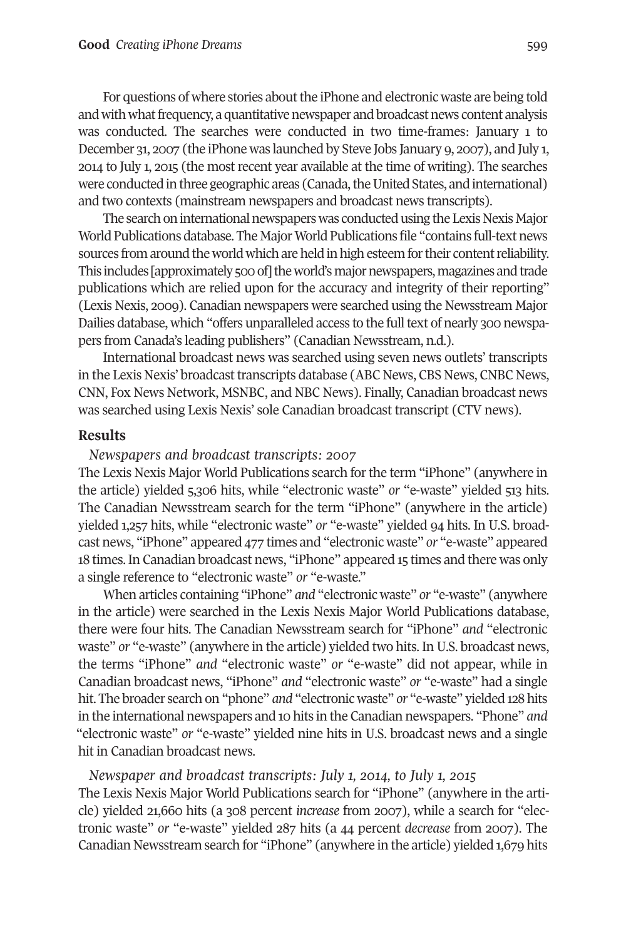For questions of where stories about the iPhone and electronic waste are being told and with what frequency, a quantitative newspaper and broadcast news content analysis was conducted. The searches were conducted in two time-frames: January 1 to december 31, 2007 (the iPhone was launched by Steve Jobs January 9, 2007), and July 1, 2014 to July 1, 2015 (the most recent year available at the time of writing). The searches were conducted in three geographic areas (Canada, the United States, and international) and two contexts (mainstream newspapers and broadcast news transcripts).

The search on international newspapers was conducted using the Lexis Nexis Major World Publications database. The Major World Publications file "contains full-text news sources from around the world which are held in high esteem for their content reliability. This includes [approximately 500 of] the world's major newspapers, magazines and trade publications which are relied upon for the accuracy and integrity of their reporting" (Lexis Nexis, 2009). Canadian newspapers were searched using the Newsstream Major Dailies database, which "offers unparalleled access to the full text of nearly 300 newspapers from Canada's leading publishers" (Canadian Newsstream, n.d.).

International broadcast news was searched using seven news outlets' transcripts in the Lexis Nexis' broadcasttranscripts database (ABC News, CBS News, CNBC News, CNN, Fox News Network, MSNBC, and NBC News). Finally, Canadian broadcast news was searched using Lexis Nexis' sole Canadian broadcast transcript (CTV news).

#### **Results**

#### *Newspapers and broadcast transcripts: 2007*

The Lexis Nexis Major world Publications search forthe term "iPhone" (anywhere in the article) yielded 5,306 hits, while "electronic waste" *or* "e-waste" yielded 513 hits. The Canadian Newsstream search for the term "iPhone" (anywhere in the article) yielded 1,257 hits, while "electronic waste" *or* "e-waste" yielded 94 hits. In U.S. broadcast news, "iPhone" appeared 477 times and "electronic waste" *or* "e-waste" appeared 18 times.In Canadian broadcast news, "iPhone" appeared 15 times and there was only a single reference to "electronic waste" *or* "e-waste."

when articles containing "iPhone" *and* "electronic waste" *or* "e-waste" (anywhere in the article) were searched in the Lexis Nexis Major world Publications database, there were four hits. The Canadian Newsstream search for "iPhone" *and* "electronic waste" *or* "e-waste" (anywhere in the article) yielded two hits. In U.S. broadcast news, the terms "iPhone" *and* "electronic waste" *or* "e-waste" did not appear, while in Canadian broadcast news, "iPhone" *and* "electronic waste" *or* "e-waste" had a single hit. The broader search on "phone" *and* "electronic waste" *or* "e-waste" yielded 128 hits in the international newspapers and 10 hits in the Canadian newspapers. "Phone" *and* "electronic waste" *or* "e-waste" yielded nine hits in U.S. broadcast news and a single hit in Canadian broadcast news.

#### *Newspaper and broadcast transcripts: July 1, 2014, to July 1, 2015*

The Lexis Nexis Major world Publications search for "iPhone" (anywhere in the article) yielded 21,660 hits (a 308 percent *increase* from 2007), while a search for "electronic waste" *or* "e-waste" yielded 287 hits (a 44 percent *decrease* from 2007). The Canadian Newsstream search for "iPhone" (anywhere in the article) yielded 1,679 hits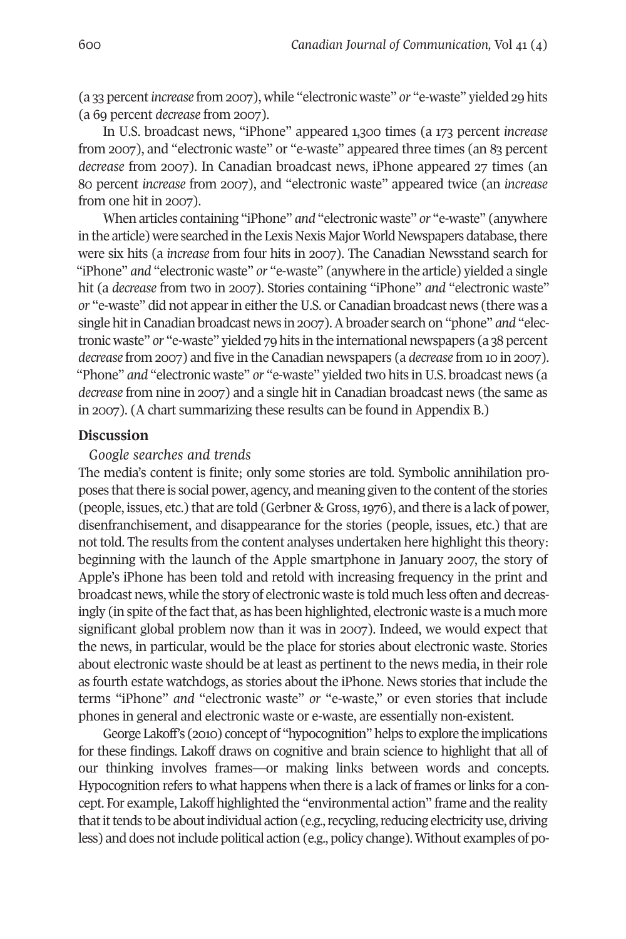(a 33 percent*increase* from 2007), while "electronic waste" *or* "e-waste" yielded 29 hits (a 69 percent *decrease* from 2007).

In U.S. broadcast news, "iPhone" appeared 1,300 times (a 173 percent *increase* from 2007), and "electronic waste" or "e-waste" appeared three times (an 83 percent *decrease* from 2007). In Canadian broadcast news, iPhone appeared 27 times (an 80 percent *increase* from 2007), and "electronic waste" appeared twice (an *increase* from one hit in 2007).

when articles containing "iPhone" *and* "electronic waste" *or* "e-waste" (anywhere in the article) were searched in the Lexis Nexis Major World Newspapers database, there were six hits (a *increase* from four hits in 2007). The Canadian Newsstand search for "iPhone" *and* "electronic waste" *or* "e-waste" (anywhere in the article) yielded a single hit (a *decrease* from two in 2007). Stories containing "iPhone" *and* "electronic waste" *or* "e-waste" did not appear in either the U.S. or Canadian broadcast news (there was a single hitinCanadian broadcast news in 2007).Abroader search on "phone" *and* "electronic waste" *or* "e-waste" yielded 79 hits in the international newspapers (a 38 percent *decrease* from 2007) and five in the Canadian newspapers (a *decrease* from 10 in 2007). "Phone" *and* "electronic waste" *or* "e-waste" yielded two hits inU.S. broadcast news (a *decrease* from nine in 2007) and a single hit in Canadian broadcast news (the same as in 2007). (A chart summarizing these results can be found in Appendix B.)

#### **Discussion**

#### *Google searches and trends*

The media's content is finite; only some stories are told. Symbolic annihilation proposes that there is social power, agency, and meaning given to the content of the stories (people, issues, etc.) that are told (Gerbner & Gross,1976), and there is a lack of power, disenfranchisement, and disappearance for the stories (people, issues, etc.) that are not told. The results from the content analyses undertaken here highlight this theory: beginning with the launch of the Apple smartphone in January 2007, the story of Apple's iPhone has been told and retold with increasing frequency in the print and broadcast news, while the story of electronic waste is told much less often and decreasingly (in spite of the fact that, as has been highlighted, electronic waste is a much more significant global problem now than it was in 2007). Indeed, we would expect that the news, in particular, would be the place for stories about electronic waste. Stories about electronic waste should be at least as pertinent to the news media, in their role as fourth estate watchdogs, as stories about the iPhone. News stories that include the terms "iPhone" *and* "electronic waste" *or* "e-waste," or even stories that include phones in general and electronic waste or e-waste, are essentially non-existent.

George Lakoff's (2010) concept of "hypocognition"helps to explore the implications for these findings. Lakoff draws on cognitive and brain science to highlight that all of our thinking involves frames—or making links between words and concepts. Hypocognition refers to what happens when there is a lack of frames or links for a concept. For example, Lakoff highlighted the "environmental action" frame and the reality that it tends to be about individual action (e.g., recycling, reducing electricity use, driving less) and does not include political action (e.g., policy change). Without examples of po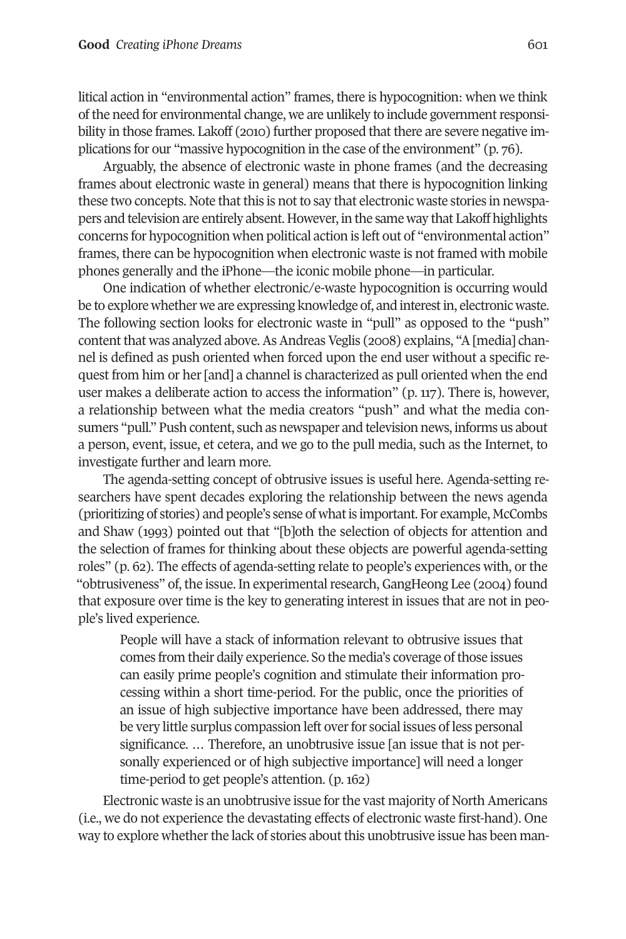litical action in "environmental action" frames, there is hypocognition: when we think of the need for environmental change, we are unlikely to include governmentresponsibility in those frames. Lakoff (2010) further proposed that there are severe negative implications for our "massive hypocognition in the case of the environment" (p. 76).

Arguably, the absence of electronic waste in phone frames (and the decreasing frames about electronic waste in general) means that there is hypocognition linking these two concepts. Note that this is not to say that electronic waste stories in newspapers and television are entirely absent. However, in the same way that Lakoff highlights concerns for hypocognition when political action is left out of "environmental action" frames, there can be hypocognition when electronic waste is not framed with mobile phones generally and the iPhone—the iconic mobile phone—in particular.

one indication of whether electronic/e-waste hypocognition is occurring would be to explore whether we are expressing knowledge of, and interestin, electronic waste. The following section looks for electronic waste in "pull" as opposed to the "push" content that was analyzed above. As Andreas Veglis (2008) explains, "A [media] channel is defined as push oriented when forced upon the end user without a specific request from him or her [and] a channel is characterized as pull oriented when the end user makes a deliberate action to access the information" (p. 117). There is, however, a relationship between what the media creators "push" and what the media consumers "pull." Push content, such as newspaper and television news, informs us about a person, event, issue, et cetera, and we go to the pull media, such as the Internet, to investigate further and learn more.

The agenda-setting concept of obtrusive issues is useful here. Agenda-setting researchers have spent decades exploring the relationship between the news agenda (prioritizing of stories) and people's sense of what is important. For example, McCombs and Shaw (1993) pointed out that "[b]oth the selection of objects for attention and the selection of frames for thinking about these objects are powerful agenda-setting roles" (p. 62). The effects of agenda-setting relate to people's experiences with, or the "obtrusiveness" of, the issue. In experimentalresearch, GangHeong Lee (2004) found that exposure over time is the key to generating interest in issues that are not in people's lived experience.

People will have a stack of information relevant to obtrusive issues that comes from their daily experience. So the media's coverage of those issues can easily prime people's cognition and stimulate their information processing within a short time-period. For the public, once the priorities of an issue of high subjective importance have been addressed, there may be very little surplus compassion left over for social issues of less personal significance. … Therefore, an unobtrusive issue [an issue that is not personally experienced or of high subjective importance] will need a longer time-period to get people's attention. (p. 162)

Electronic waste is an unobtrusive issue forthe vast majority of North Americans (i.e., we do not experience the devastating effects of electronic waste first-hand). one way to explore whether the lack of stories about this unobtrusive issue has been man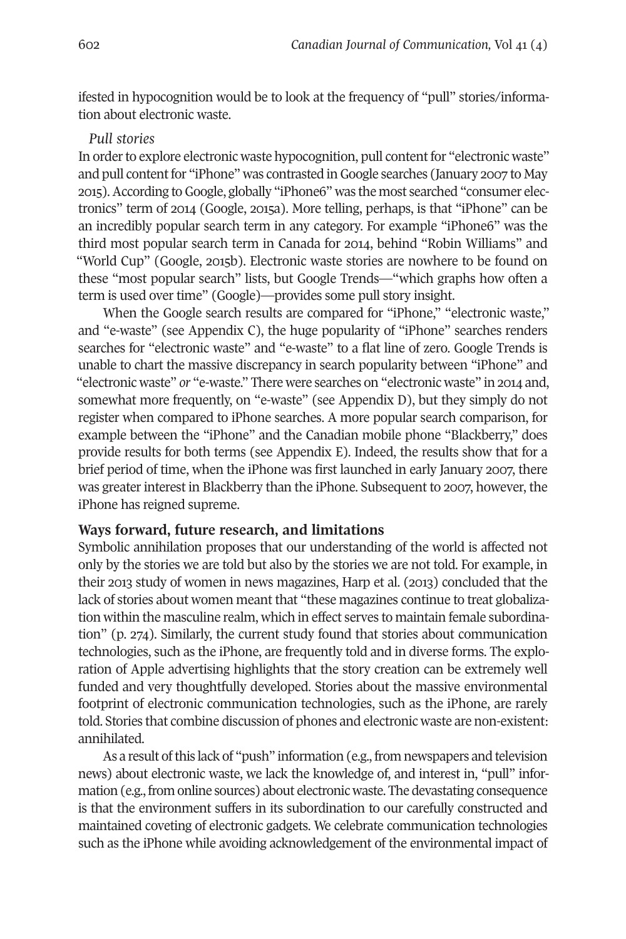ifested in hypocognition would be to look at the frequency of "pull" stories/information about electronic waste.

#### *Pull stories*

In order to explore electronic waste hypocognition, pull content for "electronic waste" and pull content for "iPhone" was contrasted in Google searches (January 2007 to May 2015).According toGoogle, globally "iPhone6" was the most searched "consumer electronics" term of 2014 (Google, 2015a). More telling, perhaps, is that "iPhone" can be an incredibly popular search term in any category. For example "iPhone6" was the third most popular search term in Canada for 2014, behind "Robin williams" and "world Cup" (Google, 2015b). Electronic waste stories are nowhere to be found on these "most popular search" lists, but Google Trends—"which graphs how often a term is used over time" (Google)—provides some pull story insight.

When the Google search results are compared for "iPhone," "electronic waste," and "e-waste" (see Appendix C), the huge popularity of "iPhone" searches renders searches for "electronic waste" and "e-waste" to a flat line of zero. Google Trends is unable to chart the massive discrepancy in search popularity between "iPhone" and "electronic waste" *or* "e-waste." There were searches on "electronic waste" in 2014 and, somewhat more frequently, on "e-waste" (see Appendix D), but they simply do not register when compared to iPhone searches. A more popular search comparison, for example between the "iPhone" and the Canadian mobile phone "Blackberry," does provide results for both terms (see Appendix E). Indeed, the results show that for a brief period of time, when the iPhone was first launched in early January 2007, there was greater interest in Blackberry than the iPhone. Subsequent to 2007, however, the iPhone has reigned supreme.

#### **Ways forward, future research, and limitations**

Symbolic annihilation proposes that our understanding of the world is affected not only by the stories we are told but also by the stories we are not told. For example, in their 2013 study of women in news magazines, Harp et al. (2013) concluded that the lack of stories about women meant that "these magazines continue to treat globalization within the masculine realm, which in effect serves to maintain female subordination" (p. 274). Similarly, the current study found that stories about communication technologies, such as the iPhone, are frequently told and in diverse forms. The exploration of Apple advertising highlights that the story creation can be extremely well funded and very thoughtfully developed. Stories about the massive environmental footprint of electronic communication technologies, such as the iPhone, are rarely told. Stories that combine discussion of phones and electronic waste are non-existent: annihilated.

As a result of this lack of "push" information (e.g., from newspapers and television news) about electronic waste, we lack the knowledge of, and interest in, "pull" information (e.g., from online sources) about electronic waste. The devastating consequence is that the environment suffers in its subordination to our carefully constructed and maintained coveting of electronic gadgets. we celebrate communication technologies such as the iPhone while avoiding acknowledgement of the environmental impact of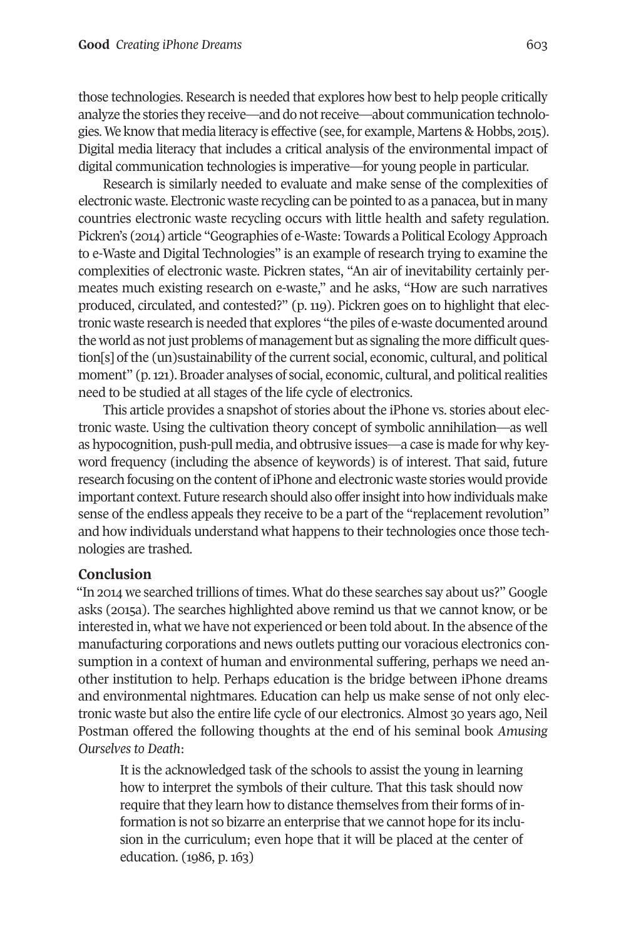those technologies. Research is needed that explores how best to help people critically analyze the stories they receive—and do notreceive—about communication technologies. We know that media literacy is effective (see, for example, Martens & Hobbs, 2015). Digital media literacy that includes a critical analysis of the environmental impact of digital communication technologies is imperative—for young people in particular.

Research is similarly needed to evaluate and make sense of the complexities of electronic waste. Electronic waste recycling can be pointed to as a panacea, butin many countries electronic waste recycling occurs with little health and safety regulation. Pickren's (2014) article "Geographies of e-waste: Towards a Political EcologyApproach to e-waste and digital Technologies" is an example of research trying to examine the complexities of electronic waste. Pickren states, "An air of inevitability certainly permeates much existing research on e-waste," and he asks, "How are such narratives produced, circulated, and contested?" (p. 119). Pickren goes on to highlight that electronic waste research is needed that explores "the piles of e-waste documented around the world as not just problems of management but as signaling the more difficult question[s] of the (un)sustainability of the current social, economic, cultural, and political moment" (p. 121). Broader analyses of social, economic, cultural, and political realities need to be studied at all stages of the life cycle of electronics.

This article provides a snapshot of stories about the iPhone vs. stories about electronic waste. Using the cultivation theory concept of symbolic annihilation—as well as hypocognition, push-pull media, and obtrusive issues—a case is made for why keyword frequency (including the absence of keywords) is of interest. That said, future research focusing on the content of iPhone and electronic waste stories would provide important context. Future research should also offerinsightinto how individuals make sense of the endless appeals they receive to be a part of the "replacement revolution" and how individuals understand what happens to their technologies once those technologies are trashed.

### **Conclusion**

"In 2014 we searched trillions of times. what do these searches say about us?" Google asks (2015a). The searches highlighted above remind us that we cannot know, or be interested in, what we have not experienced or been told about. In the absence of the manufacturing corporations and news outlets putting our voracious electronics consumption in a context of human and environmental suffering, perhaps we need another institution to help. Perhaps education is the bridge between iPhone dreams and environmental nightmares. Education can help us make sense of not only electronic waste but also the entire life cycle of our electronics. Almost 30 years ago, Neil Postman offered the following thoughts at the end of his seminal book *Amusing Ourselves to Death*:

It is the acknowledged task of the schools to assist the young in learning how to interpret the symbols of their culture. That this task should now require that they learn how to distance themselves from their forms of information is not so bizarre an enterprise that we cannot hope forits inclusion in the curriculum; even hope that it will be placed at the center of education. (1986, p. 163)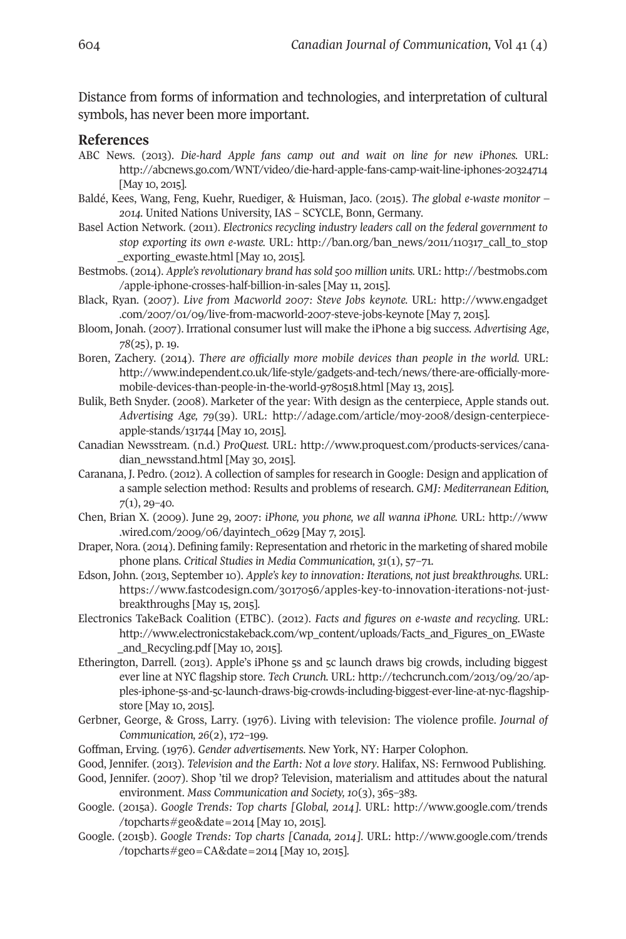Distance from forms of information and technologies, and interpretation of cultural symbols, has never been more important.

#### **References**

- ABC News. (2013). *Die-hard Apple fans camp out and wait on line for new iPhones.* URL: http://abcnews.go.com/wNT/video/die-hard-apple-fans-camp-wait-line-iphones-20324714 [May 10, 2015].
- Baldé, Kees, wang, Feng, Kuehr, Ruediger, & Huisman, Jaco. (2015). *The global e-waste monitor – 2014.* United Nations University, IAS – SCyCLE, Bonn, Germany.
- Basel Action Network. (2011). *Electronics recycling industry leaders call on the federal government to stop exporting its own e-waste.* URL: [http://ban.org/ban\\_news/2011/110317\\_call\\_to\\_stop](http://ban.org/ban_news/2011/110317_call_to_stop_exporting_ewaste.html) [\\_exporting\\_ewaste.html](http://ban.org/ban_news/2011/110317_call_to_stop_exporting_ewaste.html) [May 10, 2015].
- Bestmobs. (2014). *Apple's revolutionary brand has sold 500 million units.* URL: [http://bestmobs.com](http://bestmobs.com/apple-iphone-crosses-half-billion-in-sales) [/apple-iphone-crosses-half-billion-in-sales](http://bestmobs.com/apple-iphone-crosses-half-billion-in-sales) [May 11, 2015].
- Black, Ryan. (2007). *Live from Macworld 2007: Steve Jobs keynote.* URL: [http://www.engadget](http://www.engadget.com/2007/01/09/live-from-macworld-2007-steve-jobs-keynote) [.com/2007/01/09/live-from-macworld-2007-steve-jobs-keynote](http://www.engadget.com/2007/01/09/live-from-macworld-2007-steve-jobs-keynote) [May 7, 2015].
- Bloom, Jonah. (2007). Irrational consumer lust will make the iPhone a big success. *Advertising Age*, *78*(25), p. 19.
- Boren, Zachery. (2014). *There are officially more mobile devices than people in the world.* URL: [http://www.independent.co.uk/life-style/gadgets-and-tech/news/there-are-officially-more](http://www.independent.co.uk/life-style/gadgets-and-tech/news/there-are-officially-more-mobile-devices-than-people-in-the-world-9780518.html)[mobile-devices-than-people-in-the-world-9780518.html](http://www.independent.co.uk/life-style/gadgets-and-tech/news/there-are-officially-more-mobile-devices-than-people-in-the-world-9780518.html) [May 13, 2015].
- Bulik, Beth Snyder. (2008). Marketer of the year: with design as the centerpiece, Apple stands out. *Advertising Age, 79*(39). URL: [http://adage.com/article/moy-2008/design-centerpiece](http://adage.com/article/moy-2008/design-centerpiece-apple-stands/131744)[apple-stands/131744](http://adage.com/article/moy-2008/design-centerpiece-apple-stands/131744) [May 10, 2015].
- Canadian Newsstream. (n.d.) *ProQuest.* URL: [http://www.proquest.com/products-services/cana](http://www.proquest.com/products-services/canadian_newsstand.html)[dian\\_newsstand.html](http://www.proquest.com/products-services/canadian_newsstand.html) [May 30, 2015].
- Caranana, J. Pedro. (2012). A collection of samples for research in Google: Design and application of a sample selection method: Results and problems of research. *GMJ: Mediterranean Edition, 7*(1), 29–40.
- Chen, Brian X. (2009). June 29, 2007: *iPhone, you phone, we all wanna iPhone.* URL: [http://www](http://www.wired.com/2009/06/dayintech_0629) [.wired.com/2009/06/dayintech\\_0629](http://www.wired.com/2009/06/dayintech_0629) [May 7, 2015].
- Draper, Nora. (2014). Defining family: Representation and rhetoric in the marketing of shared mobile phone plans. *Critical Studies in Media Communication, 31*(1), 57–71.
- Edson, John. (2013, September 10). *Apple's key to innovation: Iterations, not just breakthroughs.* URL: [https://www.fastcodesign.com/3017056/apples-key-to-innovation-iterations-not-just](https://www.fastcodesign.com/3017056/apples-key-to-innovation-iterations-not-just-breakthroughs)[breakthroughs](https://www.fastcodesign.com/3017056/apples-key-to-innovation-iterations-not-just-breakthroughs) [May 15, 2015].
- Electronics TakeBack Coalition (ETBC). (2012). *Facts and figures on e-waste and recycling.* URL: [http://www.electronicstakeback.com/wp\\_content/uploads/Facts\\_and\\_Figures\\_on\\_Ewaste](http://www.electronicstakeback.com/wp_content/uploads/Facts_and_Figures_on_EWaste_and_Recycling.pdf) [\\_and\\_Recycling.pdf](http://www.electronicstakeback.com/wp_content/uploads/Facts_and_Figures_on_EWaste_and_Recycling.pdf) [May 10, 2015].
- Etherington, darrell. (2013). Apple's iPhone 5s and 5c launch draws big crowds, including biggest ever line at NyC flagship store. *Tech Crunch.* URL: [http://techcrunch.com/2013/09/20/ap](http://techcrunch.com/2013/09/20/apples-iphone-5s-and-5c-launch-draws-big-crowds-including-biggest-ever-line-at-nyc-flagship-store)[ples-iphone-5s-and-5c-launch-draws-big-crowds-including-biggest-ever-line-at-nyc-flagship](http://techcrunch.com/2013/09/20/apples-iphone-5s-and-5c-launch-draws-big-crowds-including-biggest-ever-line-at-nyc-flagship-store)[store](http://techcrunch.com/2013/09/20/apples-iphone-5s-and-5c-launch-draws-big-crowds-including-biggest-ever-line-at-nyc-flagship-store) [May 10, 2015].
- Gerbner, George, & Gross, Larry. (1976). Living with television: The violence profile. *Journal of Communication, 26*(2), 172–199.
- Goffman, Erving. (1976). *Gender advertisements*. New york, Ny: Harper Colophon.
- Good, Jennifer. (2013). *Television and the Earth: Not a love story*. Halifax, NS: Fernwood Publishing.
- Good, Jennifer. (2007). Shop 'til we drop? Television, materialism and attitudes about the natural environment. *Mass Communication and Society, 10*(3), 365–383.
- Google. (2015a). *Google Trends: Top charts [Global, 2014].* URL: [http://www.google.com/trends](http://www.google.com/trends/topcharts#geo&date=2014) [/topcharts#geo&date=2014](http://www.google.com/trends/topcharts#geo&date=2014) [May 10, 2015].
- Google. (2015b). *Google Trends: Top charts [Canada, 2014].* URL: [http://www.google.com/trends](http://www.google.com/trends/topcharts#geo=CA&date=2014) [/topcharts#geo=CA&date=2014](http://www.google.com/trends/topcharts#geo=CA&date=2014) [May 10, 2015].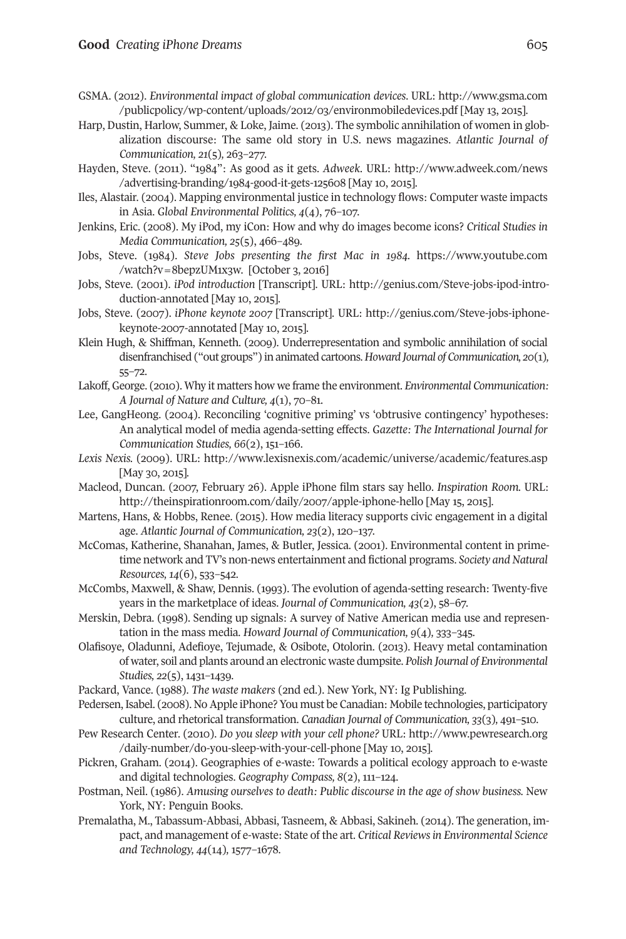- GSMA. (2012). *Environmental impact of global communication devices*. URL: [http://www.gsma.com](http://www.gsma.com/publicpolicy/wp-content/uploads/2012/03/environmobiledevices.pdf) [/publicpolicy/wp-content/uploads/2012/03/environmobiledevices.pdf](http://www.gsma.com/publicpolicy/wp-content/uploads/2012/03/environmobiledevices.pdf) [May 13, 2015].
- Harp, Dustin, Harlow, Summer, & Loke, Jaime. (2013). The symbolic annihilation of women in globalization discourse: The same old story in U.S. news magazines. *Atlantic Journal of Communication, 21*(5)*,* 263–277.
- Hayden, Steve. (2011). "1984": As good as it gets. *Adweek*. URL: [http://www.adweek.com/news](http://www.adweek.com/news/advertising-branding/1984-good-it-gets-125608) [/advertising-branding/1984-good-it-gets-125608](http://www.adweek.com/news/advertising-branding/1984-good-it-gets-125608) [May 10, 2015].
- Iles, Alastair. (2004). Mapping environmental justice in technology flows: Computer waste impacts in Asia. *Global Environmental Politics, 4*(4), 76–107.
- Jenkins, Eric. (2008). My iPod, my iCon: How and why do images become icons? *Critical Studies in Media Communication, 25*(5), 466–489.
- Jobs, Steve. (1984). *Steve Jobs presenting the first Mac in 1984.* [https://www.youtube.com](https://www.youtube.com/watch?v=8bepzUM1x3w) [/watch?v=8bepzUM1x3w.](https://www.youtube.com/watch?v=8bepzUM1x3w) [october 3, 2016]
- Jobs, Steve. (2001). *iPod introduction* [Transcript]. URL: [http://genius.com/Steve-jobs-ipod-intro](http://genius.com/Steve-jobs-ipod-introduction-annotated)[duction-annotated](http://genius.com/Steve-jobs-ipod-introduction-annotated) [May 10, 2015].
- Jobs, Steve. (2007). *iPhone keynote 2007* [Transcript]. URL: [http://genius.com/Steve-jobs-iphone](http://genius.com/Steve-jobs-iphone-keynote-2007-annotated)[keynote-2007-annotated](http://genius.com/Steve-jobs-iphone-keynote-2007-annotated) [May 10, 2015].
- Klein Hugh, & Shiffman, Kenneth. (2009). Underrepresentation and symbolic annihilation of social disenfranchised ("out groups") in animated cartoons. *Howard Journal of Communication, 20*(1)*,* 55–72.
- Lakoff, George. (2010). why it matters how we frame the environment. *Environmental Communication: A Journal of Nature and Culture, 4*(1), 70–81.
- Lee, GangHeong. (2004). Reconciling 'cognitive priming' vs 'obtrusive contingency' hypotheses: An analytical model of media agenda-setting effects. *Gazette: The International Journal for Communication Studies, 66*(2), 151–166.
- *Lexis Nexis.* (2009). URL: <http://www.lexisnexis.com/academic/universe/academic/features.asp> [May 30, 2015]*.*
- Macleod, duncan. (2007, February 26). Apple iPhone film stars say hello. *Inspiration Room.* URL: <http://theinspirationroom.com/daily/2007/apple-iphone-hello> [May 15, 2015].
- Martens, Hans, & Hobbs, Renee. (2015). How media literacy supports civic engagement in a digital age. *Atlantic Journal of Communication, 23*(2), 120–137.
- McComas, Katherine, Shanahan, James, & Butler, Jessica. (2001). Environmental content in primetime network and TV's non-news entertainment and fictional programs. *Society and Natural Resources, 14*(6), 533–542.
- McCombs, Maxwell, & Shaw, dennis. (1993). The evolution of agenda-setting research: Twenty-five years in the marketplace of ideas. *Journal of Communication, 43*(2), 58–67.
- Merskin, Debra. (1998). Sending up signals: A survey of Native American media use and representation in the mass media. *Howard Journal of Communication, 9*(4)*,* 333–345.
- olafisoye, oladunni, Adefioye, Tejumade, & osibote, otolorin. (2013). Heavy metal contamination of water, soil and plants around an electronic waste dumpsite. *Polish Journal of Environmental Studies, 22*(5), 1431–1439.
- Packard, Vance. (1988). *The waste makers* (2nd ed.). New york, Ny: Ig Publishing.
- Pedersen, Isabel. (2008). No Apple iPhone? You must be Canadian: Mobile technologies, participatory culture, and rhetorical transformation. *Canadian Journal of Communication, 33*(3)*,* 491–510.
- Pew Research Center. (2010). *Do you sleep with your cell phone?* URL: [http://www.pewresearch.org](http://www.pewresearch.org/daily-number/do-you-sleep-with-your-cell-phone) [/daily-number/do-you-sleep-with-your-cell-phone](http://www.pewresearch.org/daily-number/do-you-sleep-with-your-cell-phone) [May 10, 2015].
- Pickren, Graham. (2014). Geographies of e-waste: Towards a political ecology approach to e-waste and digital technologies. *Geography Compass, 8*(2), 111–124.
- Postman, Neil. (1986). *Amusing ourselves to death: Public discourse in the age of show business.* New york, Ny: Penguin Books.
- Premalatha, M., Tabassum-Abbasi, Abbasi, Tasneem, & Abbasi, Sakineh. (2014). The generation, impact, and management of e-waste: State of the art. *Critical Reviewsin Environmental Science and Technology, 44*(14)*,* 1577–1678.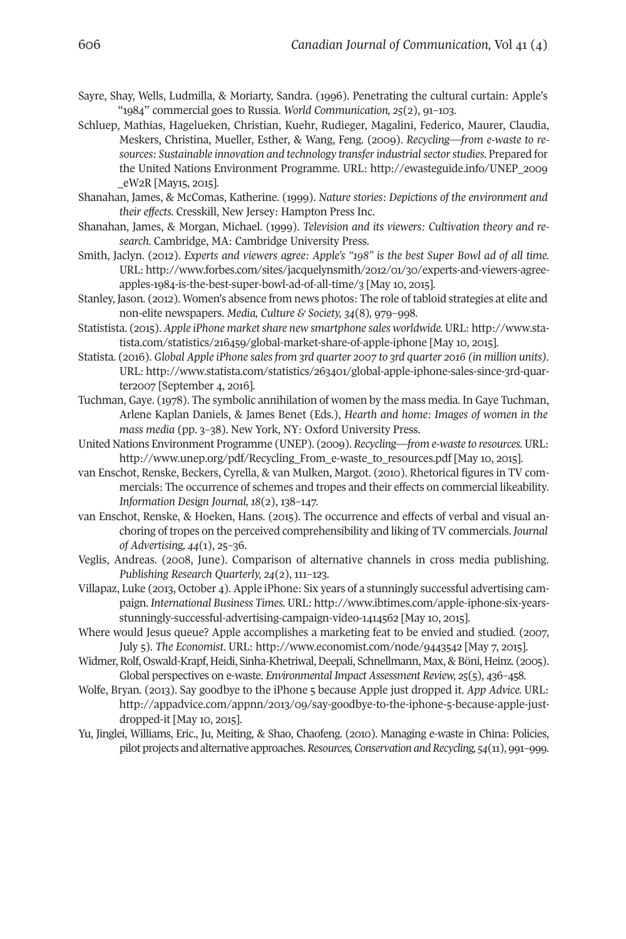- Sayre, Shay, wells, Ludmilla, & Moriarty, Sandra. (1996). Penetrating the cultural curtain: Apple's "1984" commercial goes to Russia. *World Communication, 25*(2), 91–103.
- Schluep, Mathias, Hagelueken, Christian, Kuehr, Rudieger, Magalini, Federico, Maurer, Claudia, Meskers, Christina, Mueller, Esther, & wang, Feng. (2009). *Recycling—from e-waste to resources: Sustainable innovation and technology transferindustrialsectorstudies.* Prepared for the United Nations Environment Programme. URL: [http://ewasteguide.info/UNEP\\_2009](http://ewasteguide.info/UNEP_2009_eW2R) [\\_ew2R](http://ewasteguide.info/UNEP_2009_eW2R) [May15, 2015].
- Shanahan, James, & McComas, Katherine. (1999). *Nature stories: Depictions of the environment and their effects.* Cresskill, New Jersey: Hampton Press Inc.
- Shanahan, James, & Morgan, Michael. (1999). *Television and its viewers: Cultivation theory and research.* Cambridge, MA: Cambridge University Press.
- Smith, Jaclyn. (2012). *Experts and viewers agree: Apple's "198" is the best Super Bowl ad of all time.* URL: [http://www.forbes.com/sites/jacquelynsmith/2012/01/30/experts-and-viewers-agree](http://www.forbes.com/sites/jacquelynsmith/2012/01/30/experts-and-viewers-agree-apples-1984-is-the-best-super-bowl-ad-of-all-time/3)[apples-1984-is-the-best-super-bowl-ad-of-all-time/3](http://www.forbes.com/sites/jacquelynsmith/2012/01/30/experts-and-viewers-agree-apples-1984-is-the-best-super-bowl-ad-of-all-time/3) [May 10, 2015].
- Stanley, Jason. (2012). women's absence from news photos: The role of tabloid strategies at elite and non-elite newspapers. *Media, Culture & Society, 34*(8)*,* 979–998.
- Statistista. (2015). *Apple iPhone marketshare new smartphone sales worldwide.* URL: [http://www.sta](http://www.statista.com/statistics/216459/global-market-share-of-apple-iphone)[tista.com/statistics/216459/global-market-share-of-apple-iphone](http://www.statista.com/statistics/216459/global-market-share-of-apple-iphone) [May 10, 2015].
- Statista. (2016). *Global Apple iPhone salesfrom 3rd quarter 2007 to 3rd quarter 2016 (in million units).* URL: [http://www.statista.com/statistics/263401/global-apple-iphone-sales-since-3rd-quar](http://www.statista.com/statistics/263401/global-apple-iphone-sales-since-3rd-quarter2007)[ter2007](http://www.statista.com/statistics/263401/global-apple-iphone-sales-since-3rd-quarter2007) [September 4, 2016].
- Tuchman, Gaye. (1978). The symbolic annihilation of women by the mass media. In Gaye Tuchman, Arlene Kaplan daniels, & James Benet (Eds.), *Hearth and home: Images of women in the mass media* (pp. 3–38). New york, Ny: oxford University Press.
- United Nations Environment Programme (UNEP). (2009). *Recycling—from e-waste to resources.* URL: [http://www.unep.org/pdf/Recycling\\_From\\_e-waste\\_to\\_resources.pdf](http://www.unep.org/pdf/Recycling_From_e-waste_to_resources.pdf) [May 10, 2015].
- van Enschot, Renske, Beckers, Cyrella, & van Mulken, Margot. (2010). Rhetorical figures in TV commercials: The occurrence of schemes and tropes and their effects on commercial likeability. *Information Design Journal, 18*(2), 138–147.
- van Enschot, Renske, & Hoeken, Hans. (2015). The occurrence and effects of verbal and visual anchoring of tropes on the perceived comprehensibility and liking of TV commercials. *Journal of Advertising, 44*(1), 25–36.
- Veglis, Andreas. (2008, June). Comparison of alternative channels in cross media publishing. *Publishing Research Quarterly, 24*(2), 111–123.
- Villapaz, Luke (2013, october 4). Apple iPhone: Six years of a stunningly successful advertising campaign. *International Business Times.* URL: [http://www.ibtimes.com/apple-iphone-six-years](http://www.ibtimes.com/apple-iphone-six-years-stunningly-successful-advertising-campaign-video-1414562)[stunningly-successful-advertising-campaign-video-1414562](http://www.ibtimes.com/apple-iphone-six-years-stunningly-successful-advertising-campaign-video-1414562) [May 10, 2015].
- where would Jesus queue? Apple accomplishes a marketing feat to be envied and studied. (2007, July 5). *The Economist*. URL: <http://www.economist.com/node/9443542> [May 7, 2015].
- Widmer, Rolf, Oswald-Krapf, Heidi, Sinha-Khetriwal, Deepali, Schnellmann, Max, & Böni, Heinz. (2005). Global perspectives on e-waste. *Environmental Impact Assessment Review, 25*(5), 436–458.
- wolfe, Bryan. (2013). Say goodbye to the iPhone 5 because Apple just dropped it. *App Advice.* URL: [http://appadvice.com/appnn/2013/09/say-goodbye-to-the-iphone-5-because-apple-just](http://appadvice.com/appnn/2013/09/say-goodbye-to-the-iphone-5-because-apple-just-dropped-it)[dropped-it](http://appadvice.com/appnn/2013/09/say-goodbye-to-the-iphone-5-because-apple-just-dropped-it) [May 10, 2015].
- yu, Jinglei, williams, Eric., Ju, Meiting, & Shao, Chaofeng. (2010). Managing e-waste in China: Policies, pilot projects and alternative approaches.*Resources,Conservation andRecycling, 54*(11), 991–999.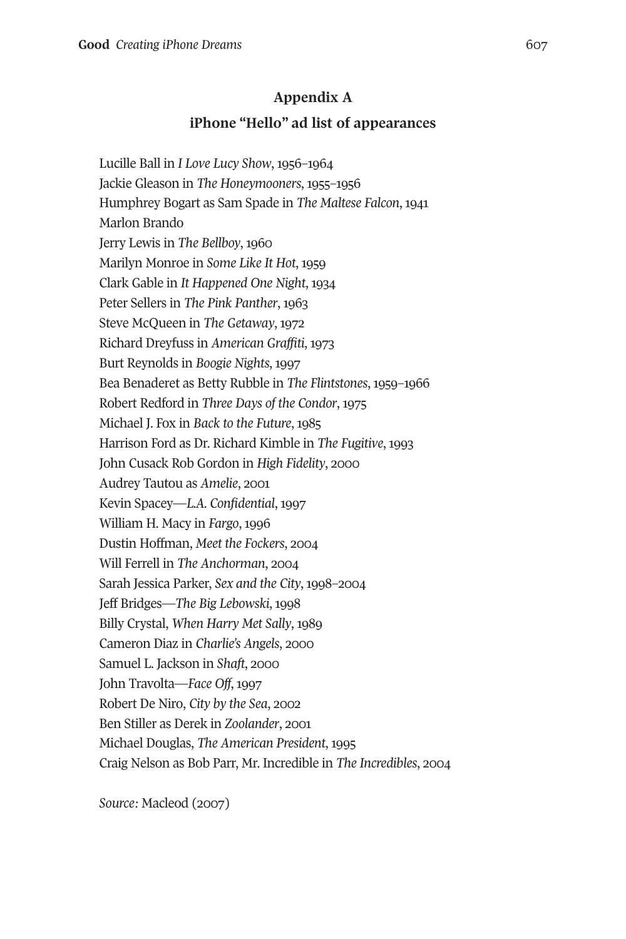## **Appendix A**

## **iPhone "Hello" ad list of appearances**

Lucille Ball in *I Love Lucy Show*, 1956–1964 Jackie Gleason in *The Honeymooners*, 1955–1956 Humphrey Bogart as Sam Spade in *The Maltese Falcon*, 1941 Marlon Brando Jerry Lewis in *The Bellboy*, 1960 Marilyn Monroe in *Some Like It Hot*, 1959 Clark Gable in *It Happened One Night*, 1934 Peter Sellers in *The Pink Panther*, 1963 Steve McQueen in *The Getaway*, 1972 Richard dreyfuss in *American Graffiti*, 1973 Burt Reynolds in *Boogie Nights*, 1997 Bea Benaderet as Betty Rubble in *The Flintstones*, 1959–1966 Robert Redford in *Three Days of the Condor*, 1975 Michael J. Fox in *Back to the Future*, 1985 Harrison Ford as dr. Richard Kimble in *The Fugitive*, 1993 John Cusack Rob Gordon in *High Fidelity*, 2000 Audrey Tautou as *Amelie*, 2001 Kevin Spacey—*L.A. Confidential*, 1997 william H. Macy in *Fargo*, 1996 dustin Hoffman, *Meet the Fockers*, 2004 will Ferrell in *The Anchorman*, 2004 Sarah Jessica Parker, *Sex and the City*, 1998–2004 Jeff Bridges—*The Big Lebowski*, 1998 Billy Crystal, *When Harry Met Sally*, 1989 Cameron diaz in *Charlie's Angels*, 2000 Samuel L. Jackson in *Shaft*, 2000 John Travolta—*Face Off*, 1997 Robert de Niro, *City by the Sea*, 2002 Ben Stiller as Derek in *Zoolander*, 2001 Michael douglas, *The American President*, 1995 Craig Nelson as Bob Parr, Mr. Incredible in *The Incredibles*, 2004

*Source:* Macleod (2007)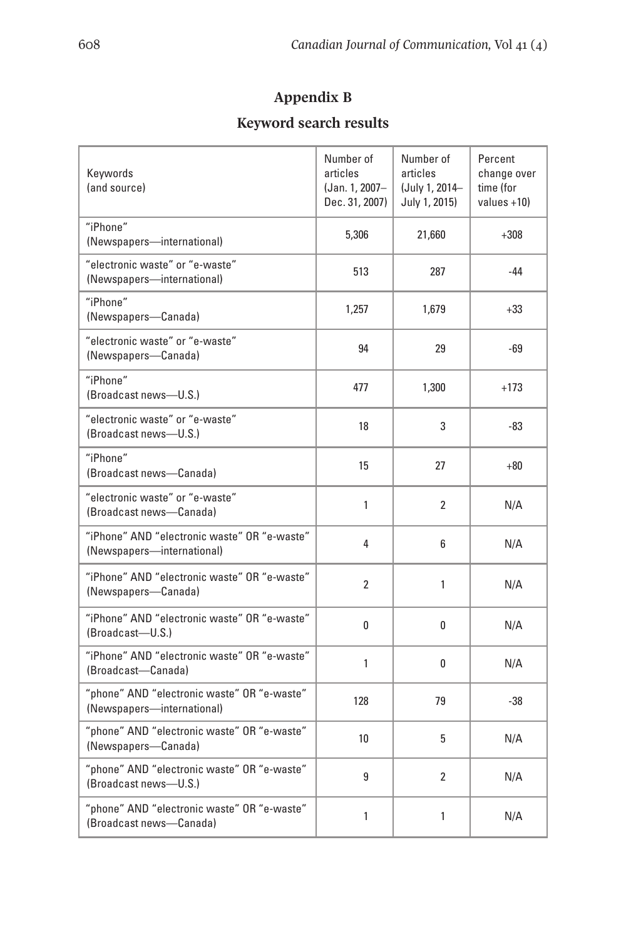## **Appendix B**

## **Keyword search results**

| Keywords<br>(and source)                                                   | Number of<br>articles<br>(Jan. 1, 2007-<br>Dec. 31, 2007) | Number of<br>articles<br>(July 1, 2014-<br>July 1, 2015) |        |  |
|----------------------------------------------------------------------------|-----------------------------------------------------------|----------------------------------------------------------|--------|--|
| "iPhone"<br>(Newspapers-international)                                     | 5,306                                                     | 21,660                                                   | $+308$ |  |
| "electronic waste" or "e-waste"<br>(Newspapers-international)              | 513                                                       | 287                                                      | $-44$  |  |
| "iPhone"<br>(Newspapers-Canada)                                            | 1,257                                                     | 1,679                                                    | $+33$  |  |
| "electronic waste" or "e-waste"<br>(Newspapers-Canada)                     | 94                                                        | 29                                                       | -69    |  |
| "iPhone"<br>(Broadcast news-U.S.)                                          | 477                                                       | 1,300                                                    | $+173$ |  |
| "electronic waste" or "e-waste"<br>(Broadcast news-U.S.)                   | 18                                                        | 3                                                        | -83    |  |
| "iPhone"<br>(Broadcast news-Canada)                                        | 15                                                        | 27                                                       | $+80$  |  |
| "electronic waste" or "e-waste"<br>(Broadcast news-Canada)                 | 1                                                         | 2                                                        | N/A    |  |
| "iPhone" AND "electronic waste" OR "e-waste"<br>(Newspapers-international) | 4                                                         | 6                                                        | N/A    |  |
| "iPhone" AND "electronic waste" OR "e-waste"<br>(Newspapers-Canada)        | $\overline{2}$                                            | $\mathbf{1}$                                             | N/A    |  |
| "iPhone" AND "electronic waste" OR "e-waste"<br>(Broadcast-U.S.)           | 0                                                         | 0                                                        | N/A    |  |
| "iPhone" AND "electronic waste" OR "e-waste"<br>(Broadcast-Canada)         | $\mathbf{1}$                                              | 0                                                        | N/A    |  |
| "phone" AND "electronic waste" OR "e-waste"<br>(Newspapers-international)  | 128                                                       | 79                                                       | $-38$  |  |
| "phone" AND "electronic waste" OR "e-waste"<br>(Newspapers-Canada)         | 10                                                        | 5                                                        |        |  |
| "phone" AND "electronic waste" OR "e-waste"<br>(Broadcast news-U.S.)       | 9                                                         | $\overline{2}$                                           |        |  |
| "phone" AND "electronic waste" OR "e-waste"<br>(Broadcast news-Canada)     | $\mathbf{1}$                                              | $\mathbf{1}$                                             | N/A    |  |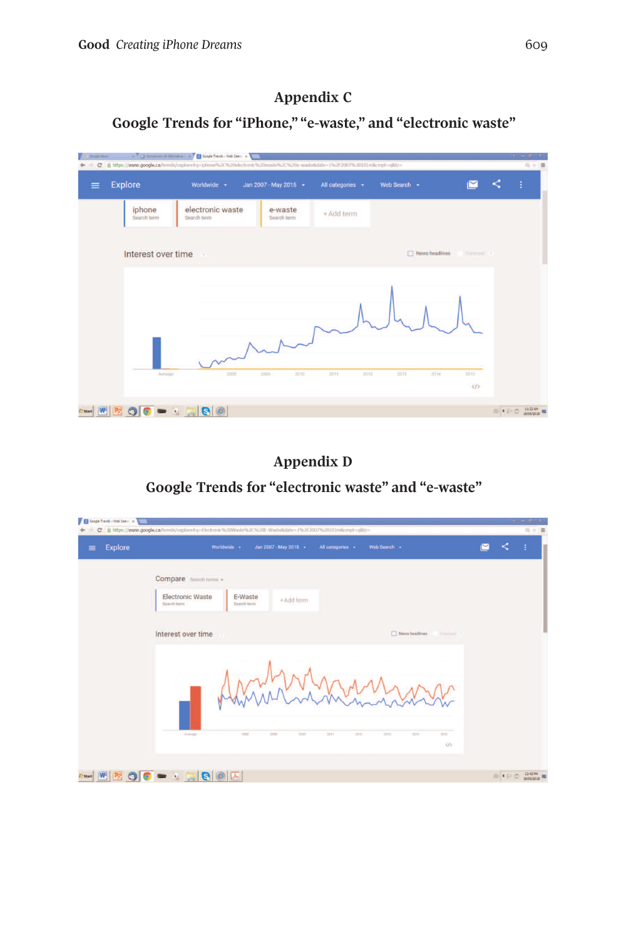## **Appendix C**

**Google Trends for "iPhone," "e-waste," and "electronic waste"**

| x C Companison of Alternative ( x ) Coople Trends - Web Search x V<br><b>B</b> Google News                                             | $\begin{array}{c c c c c} \hline \textbf{1} & \textbf{1} & \textbf{1} & \textbf{1} \\ \hline \end{array}$ |
|----------------------------------------------------------------------------------------------------------------------------------------|-----------------------------------------------------------------------------------------------------------|
| C & https://www.google.ca/trends/explore#q=iphone%2C%20electronic%20waste%2C%20e-waste&date=1%2F2007%20101m&cmpt=q&tz=<br>$\leftarrow$ | $Q + E$                                                                                                   |
| <b>Explore</b><br>Ľ<br>Worldwide -<br>Web Search $\sim$<br>Jan 2007 - May 2015 -<br>All categories v<br>$\equiv$                       | ÷                                                                                                         |
| electronic waste<br>iphone<br>e-waste<br>+ Add term<br>Search term<br>Search term<br>Search term                                       |                                                                                                           |
| Interest over time<br>$\Box$ News headlines<br>Forecast ?<br>$\overline{r}$                                                            |                                                                                                           |
| 2012<br>2015<br>2010<br>2011<br>2013<br>2014<br>2008<br>2009<br>Average                                                                |                                                                                                           |
| $\langle / \rangle$<br>$= 1 - 80$                                                                                                      | E & P (2) 11:22 AM                                                                                        |

## **Appendix D**

**Google Trends for "electronic waste" and "e-waste"**

| <b>Explore</b> | Worldwide +<br>Jan 2007 - May 2015 -<br>All categories *                       | Web Search +                 | $\overline{\Xi}$ |  |
|----------------|--------------------------------------------------------------------------------|------------------------------|------------------|--|
|                | Compare Search terms +                                                         |                              |                  |  |
|                | <b>Electronic Waste</b><br>E-Waste<br>+ Add term<br>Search term<br>Search term |                              |                  |  |
|                | Interest over time<br>71                                                       | News headlines<br>Forecast 2 |                  |  |
|                |                                                                                |                              |                  |  |